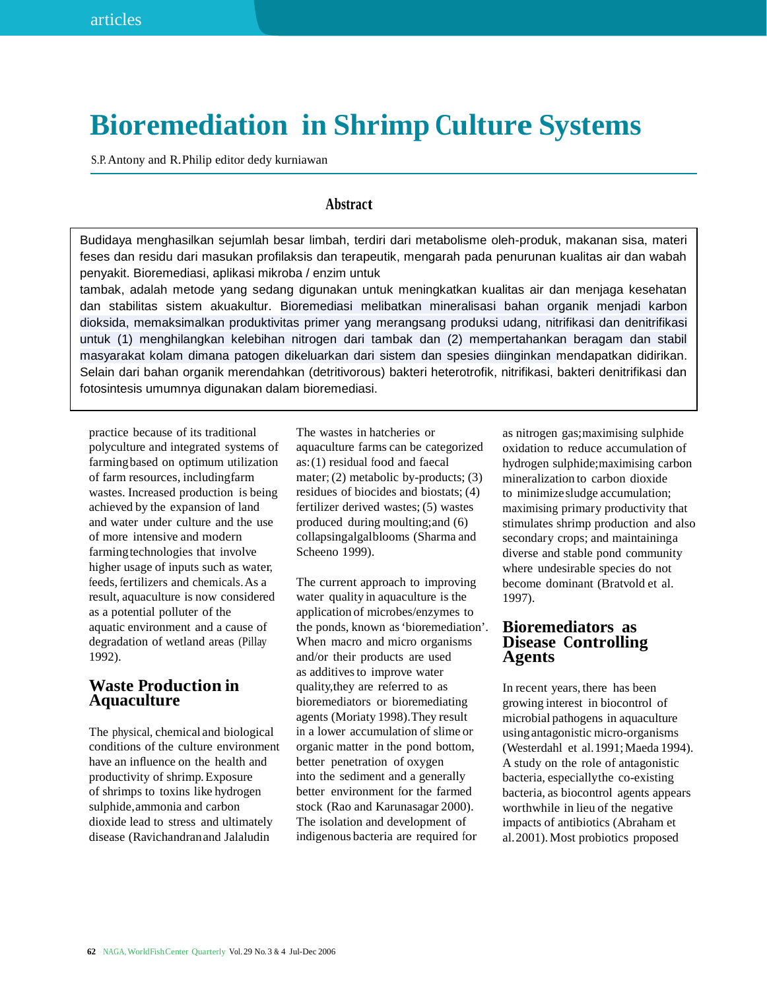# **Bioremediation in Shrimp Culture Systems**

S.P.Antony and R.Philip editor dedy kurniawan

## **Abstract**

Budidaya menghasilkan sejumlah besar limbah, terdiri dari metabolisme oleh-produk, makanan sisa, materi feses dan residu dari masukan profilaksis dan terapeutik, mengarah pada penurunan kualitas air dan wabah penyakit. Bioremediasi, aplikasi mikroba / enzim untuk

dioksida, memaksimalkan produktivitas primer yang merangsang produksi udang, nitrifikasi dan denitrifikasi masyarakat kolam dimana patogen dikeluarkan dari sistem dan spesies diinginkan mendapatkan didirikan. Selain dari bahan organik merendahkan (detritivorous) bakteri heterotrofik, nitrifikasi, bakteri denitrifikasi dan fotosintesis umumnya digunakan dalam bioremediasi. untuk (1) menghilangkan kelebihan nitrogen dari tambak dan (2) mempertahankan beragam dan stabil tambak, adalah metode yang sedang digunakan untuk meningkatkan kualitas air dan menjaga kesehatan dan stabilitas sistem akuakultur. Bioremediasi melibatkan mineralisasi bahan organik menjadi karbon

practice because of its traditional polyculture and integrated systems of farmingbased on optimum utilization of farm resources, includingfarm wastes. Increased production is being achieved by the expansion of land and water under culture and the use of more intensive and modern farmingtechnologies that involve higher usage of inputs such as water, feeds, fertilizers and chemicals.As a result, aquaculture is now considered as a potential polluter of the aquatic environment and a cause of degradation of wetland areas (Pillay 1992).

## **Waste Production in Aquaculture**

The physical, chemical and biological conditions of the culture environment have an influence on the health and productivity of shrimp.Exposure of shrimps to toxins like hydrogen sulphide,ammonia and carbon dioxide lead to stress and ultimately disease (Ravichandranand Jalaludin

The wastes in hatcheries or aquaculture farms can be categorized as:(1) residual food and faecal mater; (2) metabolic by-products; (3) residues of biocides and biostats; (4) fertilizer derived wastes; (5) wastes produced during moulting;and (6) collapsingalgalblooms (Sharma and Scheeno 1999).

The current approach to improving water quality in aquaculture is the application of microbes/enzymes to the ponds, known as'bioremediation'. When macro and micro organisms and/or their products are used as additives to improve water quality,they are referred to as bioremediators or bioremediating agents (Moriaty 1998).They result in a lower accumulation of slime or organic matter in the pond bottom, better penetration of oxygen into the sediment and a generally better environment for the farmed stock (Rao and Karunasagar 2000). The isolation and development of indigenous bacteria are required for

as nitrogen gas;maximising sulphide oxidation to reduce accumulation of hydrogen sulphide;maximising carbon mineralization to carbon dioxide to minimizesludge accumulation; maximising primary productivity that stimulates shrimp production and also secondary crops; and maintaininga diverse and stable pond community where undesirable species do not become dominant (Bratvold et al. 1997).

## **Bioremediators as Disease Controlling Agents**

In recent years, there has been growing interest in biocontrol of microbial pathogens in aquaculture using antagonistic micro-organisms (Westerdahl et al.1991;Maeda 1994). A study on the role of antagonistic bacteria, especiallythe co-existing bacteria, as biocontrol agents appears worthwhile in lieu of the negative impacts of antibiotics (Abraham et al.2001).Most probiotics proposed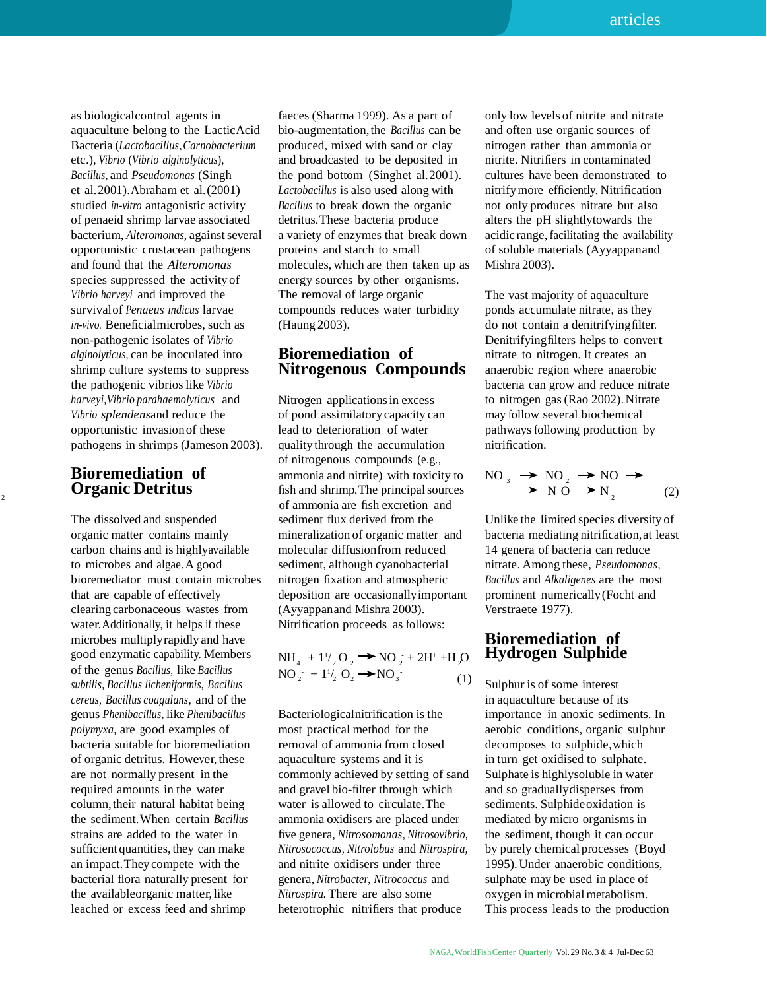as biologicalcontrol agents in aquaculture belong to the LacticAcid Bacteria (*Lactobacillus,Carnobacterium* etc.), *Vibrio* (*Vibrio alginolyticus*), *Bacillus*, and *Pseudomonas* (Singh et al.2001).Abraham et al.(2001) studied *in-vitro* antagonistic activity of penaeid shrimp larvae associated bacterium, *Alteromonas*, against several opportunistic crustacean pathogens and found that the *Alteromonas* species suppressed the activity of *Vibrio harveyi* and improved the survivalof *Penaeus indicus* larvae *in-vivo.* Beneficialmicrobes, such as non-pathogenic isolates of *Vibrio alginolyticus*, can be inoculated into shrimp culture systems to suppress the pathogenic vibrioslike *Vibrio harveyi,Vibrio parahaemolyticus* and *Vibrio splendens*and reduce the opportunistic invasionof these pathogens in shrimps (Jameson 2003).

## **Bioremediation of**

The dissolved and suspended organic matter contains mainly carbon chains and is highlyavailable to microbes and algae.A good bioremediator must contain microbes that are capable of effectively clearing carbonaceous wastes from water.Additionally, it helps if these microbes multiplyrapidly and have good enzymatic capability. Members N of the genus *Bacillus,* like *Bacillus* NO - + 1 *subtilis, Bacillus licheniformis*, *Bacillus cereus*, *Bacillus coagulans,* and of the genus *Phenibacillus*, like *Phenibacillus polymyxa,* are good examples of bacteria suitable for bioremediation of organic detritus. However, these are not normally present in the required amounts in the water column, their natural habitat being the sediment.When certain *Bacillus* strains are added to the water in sufficient quantities, they can make an impact.They compete with the bacterial flora naturally present for the availableorganic matter, like leached or excess feed and shrimp

faeces (Sharma 1999). As a part of bio-augmentation,the *Bacillus* can be produced, mixed with sand or clay and broadcasted to be deposited in the pond bottom (Singhet al.2001). *Lactobacillus* is also used along with *Bacillus* to break down the organic detritus.These bacteria produce a variety of enzymes that break down proteins and starch to small molecules, which are then taken up as energy sources by other organisms. The removal of large organic compounds reduces water turbidity (Haung 2003).

## **Bioremediation of Nitrogenous Compounds**

Nitrogen applicationsin excess of pond assimilatorycapacity can lead to deterioration of water quality through the accumulation of nitrogenous compounds (e.g., ammonia and nitrite) with toxicity to **Organic Detritus**  $\begin{array}{ccc}\n\text{minomial and finite, with exactly to } & \text{No} \frac{1}{3} \\
\text{No} & \text{No} \rightarrow \text{No} \\
\end{array}$ (2) of ammonia are fish excretion and sediment flux derived from the mineralization of organic matter and molecular diffusionfrom reduced sediment, although cyanobacterial nitrogen fixation and atmospheric deposition are occasionallyimportant (Ayyappanand Mishra 2003). Nitrification proceeds as follows:

$$
NH_4^+ + 1\frac{1}{2}O_2 \longrightarrow NO_2^- + 2H^+ + H_2O
$$
  
NO<sub>2</sub> $\div$  + 1 $\frac{1}{2}O_2 \longrightarrow NO_3^-$  (1)

Bacteriologicalnitrification is the most practical method for the removal of ammonia from closed aquaculture systems and it is commonly achieved by setting of sand and gravel bio-filter through which water is allowed to circulate.The ammonia oxidisers are placed under five genera, *Nitrosomonas, Nitrosovibrio, Nitrosococcus, Nitrolobus* and *Nitrospira,* and nitrite oxidisers under three genera, *Nitrobacter, Nitrococcus* and *Nitrospira.* There are also some heterotrophic nitrifiers that produce

only low levels of nitrite and nitrate and often use organic sources of nitrogen rather than ammonia or nitrite. Nitrifiers in contaminated cultures have been demonstrated to nitrifymore efficiently. Nitrification not only produces nitrate but also alters the pH slightlytowards the acidic range, facilitating the availability of soluble materials (Ayyappanand Mishra 2003).

The vast majority of aquaculture ponds accumulate nitrate, as they do not contain a denitrifyingfilter. Denitrifyingfilters helps to convert nitrate to nitrogen. It creates an anaerobic region where anaerobic bacteria can grow and reduce nitrate to nitrogen gas(Rao 2002).Nitrate may follow several biochemical pathways following production by nitrification.

$$
NO3 \rightarrow NO2 \rightarrow NO \rightarrow
$$
  
\n
$$
\rightarrow NO \rightarrow NO \rightarrow
$$
  
\n
$$
(2)
$$

Unlike the limited species diversity of bacteria mediating nitrification,at least 14 genera of bacteria can reduce nitrate. Among these, *Pseudomonas, Bacillus* and *Alkaligenes* are the most prominent numerically(Focht and Verstraete 1977).

## **Bioremediation of** / <sup>O</sup> NO - <sup>+</sup> 2H<sup>+</sup> +H <sup>O</sup> **Hydrogen Sulphide**

Sulphur is of some interest in aquaculture because of its importance in anoxic sediments. In aerobic conditions, organic sulphur decomposes to sulphide,which in turn get oxidised to sulphate. Sulphate is highlysoluble in water and so graduallydisperses from sediments. Sulphide oxidation is mediated by micro organisms in the sediment, though it can occur by purely chemical processes (Boyd 1995).Under anaerobic conditions, sulphate may be used in place of oxygen in microbial metabolism. This process leads to the production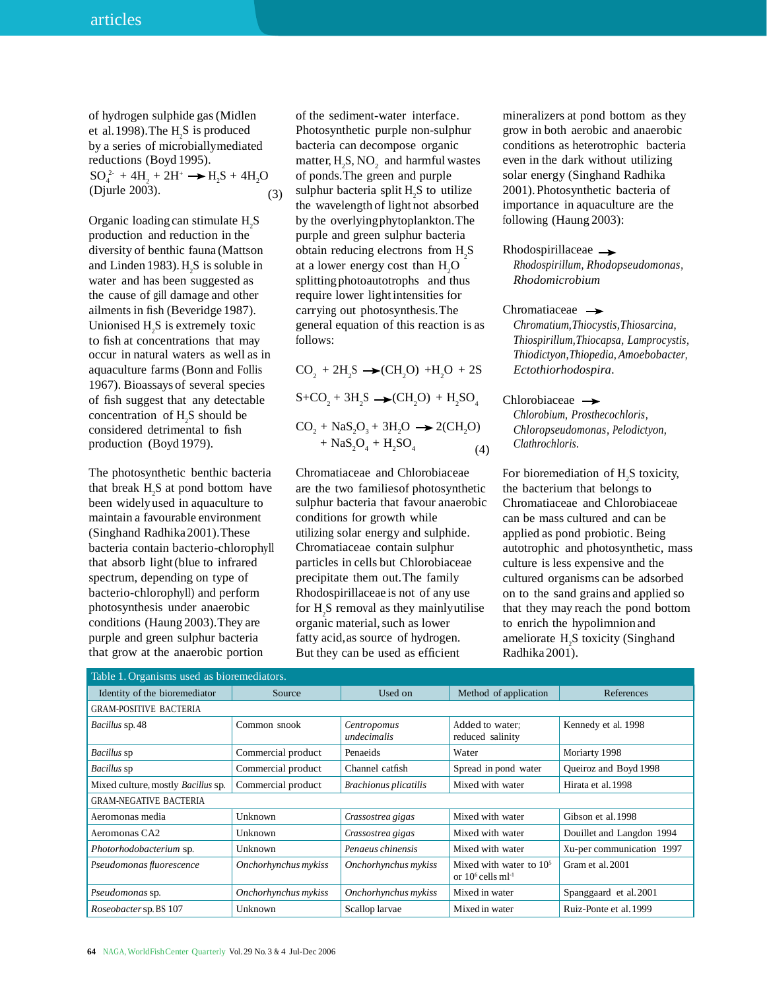$SO_4^{2-} + 4H_2 + 2H^+ \longrightarrow H_2$ of hydrogen sulphide gas(Midlen et al. 1998). The  $H_2S$  is produced by a series of microbiallymediated reductions (Boyd 1995). (Djurle 2003).

Organic loading can stimulate  $H_2S$ production and reduction in the diversity of benthic fauna (Mattson and Linden 1983).  $H_2S$  is soluble in water and has been suggested as the cause of gill damage and other ailments in fish (Beveridge 1987). Unionised  $H_2S$  is extremely toxic to fish at concentrations that may occur in natural waters as well as in aquaculture farms (Bonn and Follis 1967). Bioassays of several species of fish suggest that any detectable concentration of  $H_2S$  should be considered detrimental to fish production (Boyd 1979).

The photosynthetic benthic bacteria that break  $H_2S$  at pond bottom have been widelyused in aquaculture to maintain a favourable environment (Singhand Radhika2001).These bacteria contain bacterio-chlorophyll that absorb light(blue to infrared spectrum, depending on type of bacterio-chlorophyll) and perform photosynthesis under anaerobic conditions (Haung 2003).They are purple and green sulphur bacteria that grow at the anaerobic portion

of the sediment-water interface. Photosynthetic purple non-sulphur bacteria can decompose organic matter,  $H_2S$ , NO<sub>2</sub> and harmful wastes of ponds. The green and purple solar energy (Singhand Radhika (3) sulphur bacteria split  $H_2S$  to utilize the wavelength of light not absorbed by the overlyingphytoplankton.The purple and green sulphur bacteria obtain reducing electrons from  $H_2S$ at a lower energy cost than  $H<sub>2</sub>O$ splitting photoautotrophs and thus require lower lightintensities for carrying out photosynthesis.The general equation of this reaction is as follows:

 $CO_2 + 2H_2S \rightarrow (CH_2O) + H_2O + 2S$  $S + CO_2 + 3H_2S \rightarrow (CH_2O) + H_2SO_4$  $CO<sub>2</sub> + NaS<sub>2</sub>O<sub>3</sub> + 3H<sub>2</sub>O \rightarrow 2(CH<sub>2</sub>O)$ 

$$
+ \text{NaS}_2\text{O}_4 + \text{H}_2\text{SO}_4 \tag{4}
$$

Chromatiaceae and Chlorobiaceae are the two familiesof photosynthetic sulphur bacteria that favour anaerobic conditions for growth while utilizing solar energy and sulphide. Chromatiaceae contain sulphur particles in cells but Chlorobiaceae precipitate them out.The family Rhodospirillaceae is not of any use for  $H_2S$  removal as they mainly utilise organic material, such as lower fatty acid,as source of hydrogen. But they can be used as efficient

mineralizers at pond bottom as they grow in both aerobic and anaerobic conditions as heterotrophic bacteria even in the dark without utilizing 2001).Photosynthetic bacteria of importance in aquaculture are the following (Haung 2003):

#### Rhodospirillaceae  $\rightarrow$

*Rhodospirillum, Rhodopseudomonas, Rhodomicrobium*

#### Chromatiaceae  $\rightarrow$

*Chromatium,Thiocystis,Thiosarcina, Thiospirillum,Thiocapsa, Lamprocystis, Thiodictyon,Thiopedia, Amoebobacter, Ectothiorhodospira*.

#### $Chlorobiaceae \rightarrow$

*Chlorobium, Prosthecochloris, Chloropseudomonas, Pelodictyon,* (4) *Clathrochloris.*

> For bioremediation of  $H_2S$  toxicity, the bacterium that belongs to Chromatiaceae and Chlorobiaceae can be mass cultured and can be applied as pond probiotic. Being autotrophic and photosynthetic, mass culture is less expensive and the cultured organisms can be adsorbed on to the sand grains and applied so that they may reach the pond bottom to enrich the hypolimnion and ameliorate  $H_2S$  toxicity (Singhand Radhika2001).

| Table 1. Organisms used as bioremediators. |                      |                              |                                                               |                           |  |
|--------------------------------------------|----------------------|------------------------------|---------------------------------------------------------------|---------------------------|--|
| Identity of the bioremediator              | Source               | Used on                      | Method of application                                         | References                |  |
| <b>GRAM-POSITIVE BACTERIA</b>              |                      |                              |                                                               |                           |  |
| <i>Bacillus</i> sp. 48                     | Common snook         | Centropomus<br>undecimalis   | Added to water:<br>reduced salinity                           | Kennedy et al. 1998       |  |
| Bacillus sp                                | Commercial product   | Penaeids                     | Water                                                         | Moriarty 1998             |  |
| Bacillus sp                                | Commercial product   | Channel catfish              | Spread in pond water                                          | Oueiroz and Boyd 1998     |  |
| Mixed culture, mostly <i>Bacillus</i> sp.  | Commercial product   | <b>Brachionus plicatilis</b> | Mixed with water                                              | Hirata et al. 1998        |  |
| <b>GRAM-NEGATIVE BACTERIA</b>              |                      |                              |                                                               |                           |  |
| Aeromonas media                            | Unknown              | Crassostrea gigas            | Mixed with water                                              | Gibson et al. 1998        |  |
| Aeromonas CA2                              | Unknown              | Crassostrea gigas            | Mixed with water                                              | Douillet and Langdon 1994 |  |
| Photorhodobacterium sp.                    | Unknown              | Penaeus chinensis            | Mixed with water                                              | Xu-per communication 1997 |  |
| Pseudomonas fluorescence                   | Onchorhynchus mykiss | Onchorhynchus mykiss         | Mixed with water to $105$<br>or $10^6$ cells ml <sup>-1</sup> | Gram et al. 2001          |  |
| Pseudomonas sp.                            | Onchorhynchus mykiss | Onchorhynchus mykiss         | Mixed in water                                                | Spanggaard et al. 2001    |  |
| <i>Roseobacter sp. BS</i> 107              | Unknown              | Scallop larvae               | Mixed in water                                                | Ruiz-Ponte et al. 1999    |  |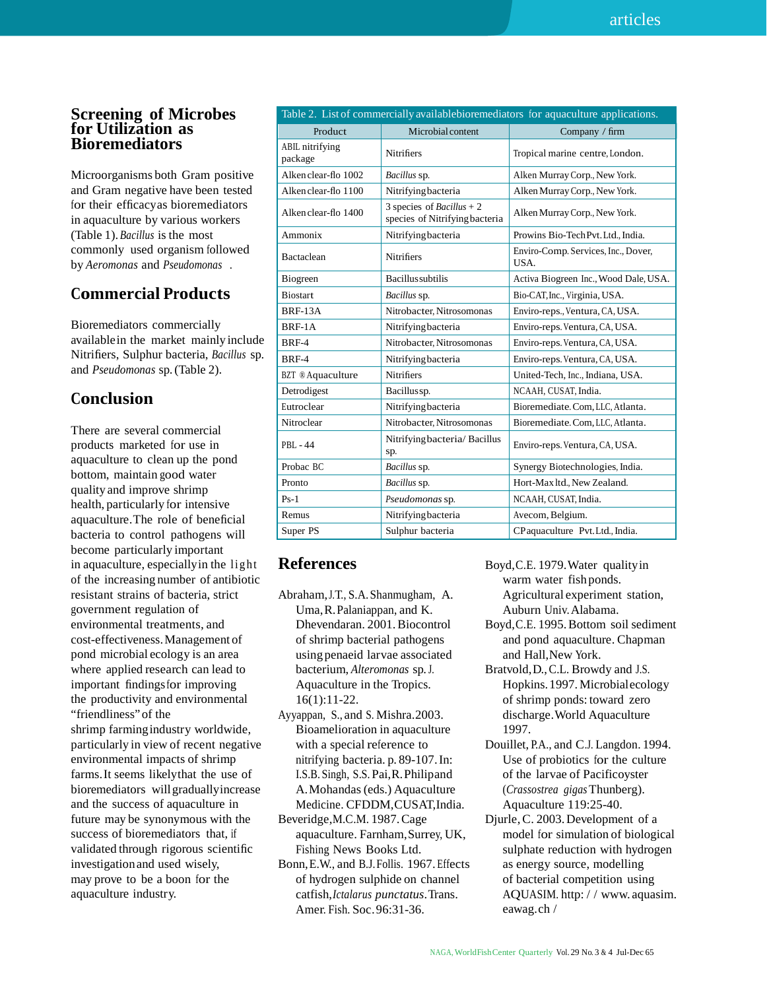## **Screening of Microbes for Utilization as Bioremediators**

Microorganisms both Gram positive and Gram negative have been tested for their efficacyas bioremediators in aquaculture by various workers (Table 1).*Bacillus* is the most commonly used organism followed by *Aeromonas* and *Pseudomonas .*

## **Commercial Products**

Bioremediators commercially availablein the market mainly include Nitrifiers, Sulphur bacteria, *Bacillus* sp. and *Pseudomonas* sp.(Table 2).

## **Conclusion**

There are several commercial products marketed for use in aquaculture to clean up the pond bottom, maintain good water quality and improve shrimp health, particularly for intensive aquaculture.The role of beneficial bacteria to control pathogens will become particularly important in aquaculture, especiallyin the lig ht of the increasing number of antibiotic resistant strains of bacteria, strict government regulation of environmental treatments, and cost-effectiveness.Management of pond microbial ecology is an area where applied research can lead to important findingsfor improving the productivity and environmental "friendliness" of the shrimp farmingindustry worldwide, particularly in view of recent negative environmental impacts of shrimp farms.It seems likelythat the use of bioremediators willgraduallyincrease and the success of aquaculture in future may be synonymous with the success of bioremediators that, if validated through rigorous scientific investigationand used wisely, may prove to be a boon for the aquaculture industry.

| Table 2. List of commercially availablebioremediators for aquaculture applications. |                                                                    |                                             |  |  |  |
|-------------------------------------------------------------------------------------|--------------------------------------------------------------------|---------------------------------------------|--|--|--|
| Product                                                                             | Microbial content                                                  | Company / firm                              |  |  |  |
| ABIL nitrifying<br>package                                                          | <b>Nitrifiers</b>                                                  | Tropical marine centre, London.             |  |  |  |
| Alken clear-flo 1002                                                                | Bacillus sp.                                                       | Alken Murray Corp., New York.               |  |  |  |
| Alken clear-flo 1100                                                                | Nitrifying bacteria                                                | Alken Murray Corp., New York.               |  |  |  |
| Alken clear-flo 1400                                                                | 3 species of <i>Bacillus</i> + 2<br>species of Nitrifying bacteria | Alken Murray Corp., New York.               |  |  |  |
| Ammonix                                                                             | Nitrifying bacteria                                                | Prowins Bio-TechPvt.Ltd., India.            |  |  |  |
| Bactaclean                                                                          | <b>Nitrifiers</b>                                                  | Enviro-Comp. Services, Inc., Dover,<br>USA. |  |  |  |
| Biogreen                                                                            | <b>Bacillus</b> subtilis                                           | Activa Biogreen Inc., Wood Dale, USA.       |  |  |  |
| <b>Biostart</b>                                                                     | Bacillus sp.                                                       | Bio-CAT, Inc., Virginia, USA.               |  |  |  |
| <b>BRF-13A</b>                                                                      | Nitrobacter, Nitrosomonas                                          | Enviro-reps., Ventura, CA, USA.             |  |  |  |
| BRF-1A                                                                              | Nitrifying bacteria                                                | Enviro-reps. Ventura, CA, USA.              |  |  |  |
| <b>BRF-4</b>                                                                        | Nitrobacter, Nitrosomonas                                          | Enviro-reps. Ventura, CA, USA.              |  |  |  |
| <b>BRF-4</b>                                                                        | Nitrifying bacteria                                                | Enviro-reps. Ventura, CA, USA.              |  |  |  |
| <b>BZT</b> ® Aquaculture                                                            | <b>Nitrifiers</b>                                                  | United-Tech, Inc., Indiana, USA.            |  |  |  |
| Detrodigest                                                                         | Bacillussp.                                                        | NCAAH, CUSAT, India.                        |  |  |  |
| Eutroclear                                                                          | Nitrifying bacteria                                                | Bioremediate. Com, LLC, Atlanta.            |  |  |  |
| Nitroclear                                                                          | Nitrobacter. Nitrosomonas                                          | Bioremediate. Com, LLC, Atlanta.            |  |  |  |
| PBL - 44                                                                            | Nitrifying bacteria/ Bacillus<br>sp.                               | Enviro-reps. Ventura, CA, USA.              |  |  |  |
| Probac BC                                                                           | Bacillus sp.                                                       | Synergy Biotechnologies, India.             |  |  |  |
| Pronto                                                                              | Bacillus sp.                                                       | Hort-Max ltd., New Zealand.                 |  |  |  |
| $Ps-1$                                                                              | Pseudomonas sp.                                                    | NCAAH, CUSAT, India.                        |  |  |  |
| Remus                                                                               | Nitrifying bacteria                                                | Avecom, Belgium.                            |  |  |  |
| Super PS                                                                            | Sulphur bacteria                                                   | CP aquaculture Pvt. Ltd., India.            |  |  |  |

## **References**

- Abraham,J.T., S.A.Shanmugham, A. Uma,R.Palaniappan, and K. Dhevendaran. 2001.Biocontrol of shrimp bacterial pathogens using penaeid larvae associated bacterium, *Alteromonas* sp.J. Aquaculture in the Tropics. 16(1):11-22.
- Ayyappan, S., and S. Mishra.2003. Bioamelioration in aquaculture with a special reference to nitrifying bacteria. p. 89-107.In: I.S.B. Singh, S.S. Pai,R.Philipand A.Mohandas (eds.) Aquaculture Medicine. CFDDM,CUSAT,India.
- Beveridge,M.C.M. 1987.Cage aquaculture. Farnham,Surrey, UK, Fishing News Books Ltd.
- Bonn,E.W., and B.J.Follis. 1967. Effects of hydrogen sulphide on channel catfish,*Ictalarus punctatus*.Trans. Amer. Fish. Soc.96:31-36.

Boyd,C.E. 1979.Water qualityin warm water fish ponds. Agricultural experiment station, Auburn Univ.Alabama.

- Boyd,C.E. 1995.Bottom soil sediment and pond aquaculture. Chapman and Hall,New York.
- Bratvold,D.,C.L. Browdy and J.S. Hopkins.1997.Microbialecology of shrimp ponds: toward zero discharge.World Aquaculture 1997.
- Douillet, P.A., and C.J. Langdon. 1994. Use of probiotics for the culture of the larvae of Pacificoyster (*Crassostrea gigas*Thunberg). Aquaculture 119:25-40.
- Djurle,C. 2003.Development of a model for simulation of biological sulphate reduction with hydrogen as energy source, modelling of bacterial competition using AQUASIM. http: / / www. aquasim. eawag.ch /